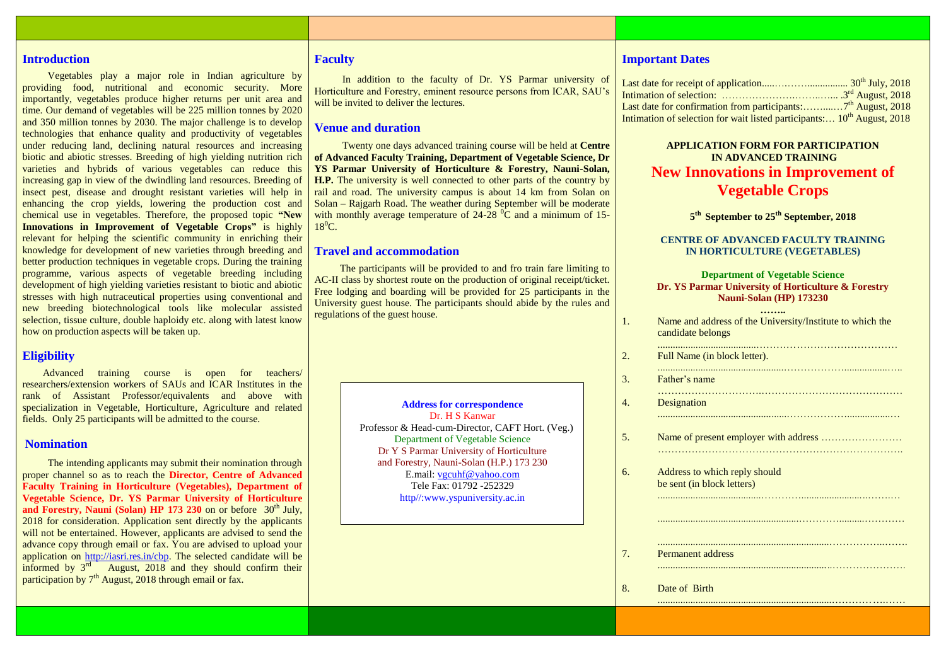## **Introduction**

 Vegetables play a major role in Indian agriculture by providing food, nutritional and economic security. More importantly, vegetables produce higher returns per unit area and time. Our demand of vegetables will be 225 million tonnes by 2020 and 350 million tonnes by 2030. The major challenge is to develop technologies that enhance quality and productivity of vegetables under reducing land, declining natural resources and increasing biotic and abiotic stresses. Breeding of high yielding nutrition rich varieties and hybrids of various vegetables can reduce this increasing gap in view of the dwindling land resources. Breeding of insect pest, disease and drought resistant varieties will help in enhancing the crop yields, lowering the production cost and chemical use in vegetables. Therefore, the proposed topic **"New Innovations in Improvement of Vegetable Crops"** is highly relevant for helping the scientific community in enriching their knowledge for development of new varieties through breeding and better production techniques in vegetable crops. During the training programme, various aspects of vegetable breeding including development of high yielding varieties resistant to biotic and abiotic stresses with high nutraceutical properties using conventional and new breeding biotechnological tools like molecular assisted selection, tissue culture, double haploidy etc. along with latest know how on production aspects will be taken up.

## **Eligibility**

 Advanced training course is open for teachers/ researchers/extension workers of SAUs and ICAR Institutes in the rank of Assistant Professor/equivalents and above with specialization in Vegetable, Horticulture, Agriculture and related fields. Only 25 participants will be admitted to the course.

#### **Nomination**

 The intending applicants may submit their nomination through proper channel so as to reach the **Director, Centre of Advanced Faculty Training in Horticulture (Vegetables), Department of Vegetable Science, Dr. YS Parmar University of Horticulture**  and Forestry, Nauni (Solan) HP 173 230 on or before 30<sup>th</sup> July, 2018 for consideration. Application sent directly by the applicants will not be entertained. However, applicants are advised to send the advance copy through email or fax. You are advised to upload your application on [http://iasri.res.in/cbp.](http://iasri.res.in/cbp) The selected candidate will be informed by  $3<sup>rd</sup>$  August, 2018 and they should confirm their participation by 7<sup>th</sup> August, 2018 through email or fax.

## **Faculty**

 In addition to the faculty of Dr. YS Parmar university of Horticulture and Forestry, eminent resource persons from ICAR, SAU's will be invited to deliver the lectures.

# **Venue and duration**

 Twenty one days advanced training course will be held at **Centre of Advanced Faculty Training, Department of Vegetable Science, Dr YS Parmar University of Horticulture & Forestry, Nauni-Solan, H.P.** The university is well connected to other parts of the country by rail and road. The university campus is about 14 km from Solan on Solan – Rajgarh Road. The weather during September will be moderate with monthly average temperature of  $24-28\,^0\text{C}$  and a minimum of 15- $18^0C$ .

### **Travel and accommodation**

 The participants will be provided to and fro train fare limiting to AC-II class by shortest route on the production of original receipt/ticket. Free lodging and boarding will be provided for 25 participants in the University guest house. The participants should abide by the rules and regulations of the guest house.

> **Address for correspondence** Dr. H S Kanwar Professor & Head-cum-Director, CAFT Hort. (Veg.) Department of Vegetable Science Dr Y S Parmar University of Horticulture and Forestry, Nauni-Solan (H.P.) 173 230 E.mail: [vgcuhf@yahoo.com](mailto:vgcuhf@yahoo.com) Tele Fax: 01792 -252329 http//:www.yspuniversity.ac.in

## **Important Dates**

| Intimation of selection for wait listed participants: 10 <sup>th</sup> August, 2018 |  |
|-------------------------------------------------------------------------------------|--|

# **APPLICATION FORM FOR PARTICIPATION IN ADVANCED TRAINING New Innovations in Improvement of Vegetable Crops**

**5 th September to 25 th September, 2018**

### **CENTRE OF ADVANCED FACULTY TRAINING IN HORTICULTURE (VEGETABLES)**

#### **Department of Vegetable Science Dr. YS Parmar University of Horticulture & Forestry Nauni-Solan (HP) 173230**

.......................................……………………………………

………………………….……………………………………

...................................................……………….................…

**……..** 1. Name and address of the University/Institute to which the candidate belongs

2. Full Name (in block letter).

..................................................……………….................….. 3. Father's name

4. Designation

5. Name of present employer with address …………………… ……………………………………………………………….

.........................................…………..........................…….…

....................................................................……………..…….

.....................................................................…………….……

6. Address to which reply should be sent (in block letters)

7. Permanent address

8. Date of Birth